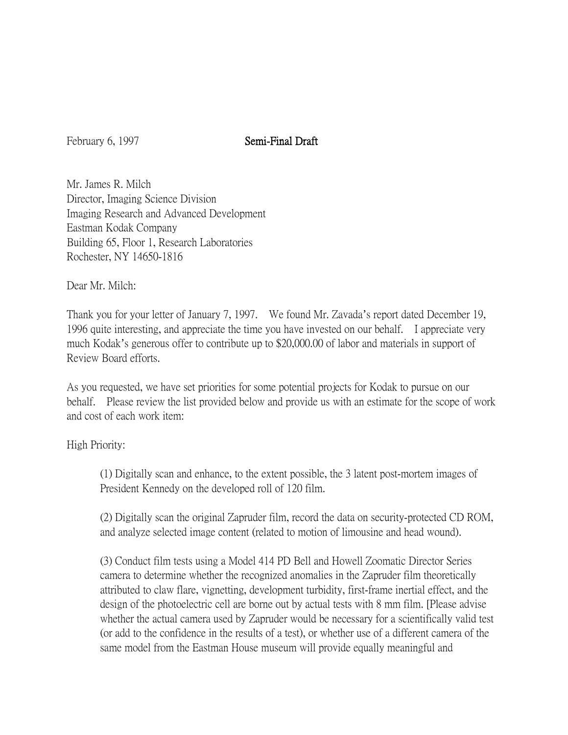## February 6, 1997 Semi-Final Draft

Mr. James R. Milch Director, Imaging Science Division Imaging Research and Advanced Development Eastman Kodak Company Building 65, Floor 1, Research Laboratories Rochester, NY 14650-1816

Dear Mr. Milch:

Thank you for your letter of January 7, 1997. We found Mr. Zavada's report dated December 19, 1996 quite interesting, and appreciate the time you have invested on our behalf. I appreciate very much Kodak's generous offer to contribute up to \$20,000.00 of labor and materials in support of Review Board efforts.

As you requested, we have set priorities for some potential projects for Kodak to pursue on our behalf. Please review the list provided below and provide us with an estimate for the scope of work and cost of each work item:

High Priority:

(1) Digitally scan and enhance, to the extent possible, the 3 latent post-mortem images of President Kennedy on the developed roll of 120 film.

(2) Digitally scan the original Zapruder film, record the data on security-protected CD ROM, and analyze selected image content (related to motion of limousine and head wound).

(3) Conduct film tests using a Model 414 PD Bell and Howell Zoomatic Director Series camera to determine whether the recognized anomalies in the Zapruder film theoretically attributed to claw flare, vignetting, development turbidity, first-frame inertial effect, and the design of the photoelectric cell are borne out by actual tests with 8 mm film. [Please advise whether the actual camera used by Zapruder would be necessary for a scientifically valid test (or add to the confidence in the results of a test), or whether use of a different camera of the same model from the Eastman House museum will provide equally meaningful and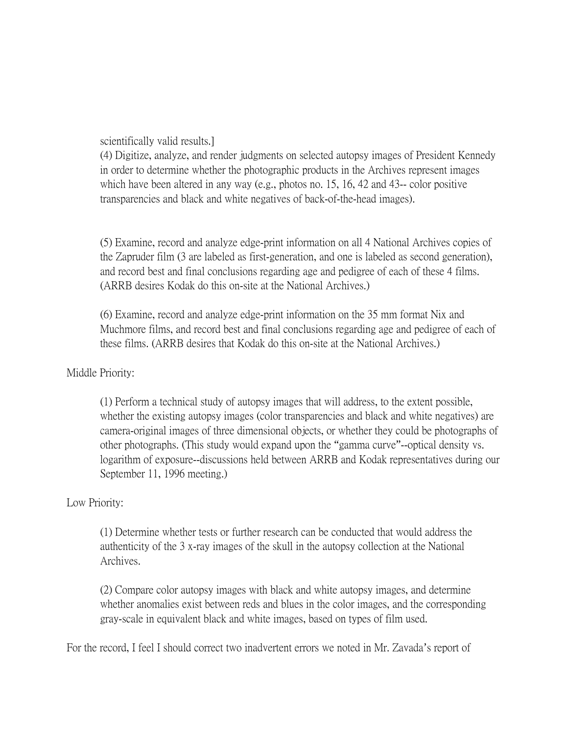scientifically valid results.]

(4) Digitize, analyze, and render judgments on selected autopsy images of President Kennedy in order to determine whether the photographic products in the Archives represent images which have been altered in any way (e.g., photos no. 15, 16, 42 and 43-- color positive transparencies and black and white negatives of back-of-the-head images).

(5) Examine, record and analyze edge-print information on all 4 National Archives copies of the Zapruder film (3 are labeled as first-generation, and one is labeled as second generation), and record best and final conclusions regarding age and pedigree of each of these 4 films. (ARRB desires Kodak do this on-site at the National Archives.)

(6) Examine, record and analyze edge-print information on the 35 mm format Nix and Muchmore films, and record best and final conclusions regarding age and pedigree of each of these films. (ARRB desires that Kodak do this on-site at the National Archives.)

## Middle Priority:

(1) Perform a technical study of autopsy images that will address, to the extent possible, whether the existing autopsy images (color transparencies and black and white negatives) are camera-original images of three dimensional objects, or whether they could be photographs of other photographs. (This study would expand upon the "gamma curve"--optical density vs. logarithm of exposure--discussions held between ARRB and Kodak representatives during our September 11, 1996 meeting.)

## Low Priority:

(1) Determine whether tests or further research can be conducted that would address the authenticity of the 3 x-ray images of the skull in the autopsy collection at the National Archives.

(2) Compare color autopsy images with black and white autopsy images, and determine whether anomalies exist between reds and blues in the color images, and the corresponding gray-scale in equivalent black and white images, based on types of film used.

For the record, I feel I should correct two inadvertent errors we noted in Mr. Zavada's report of